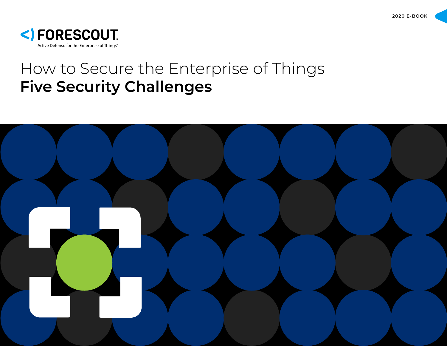

# How to Secure the Enterprise of Things **Five Security Challenges**

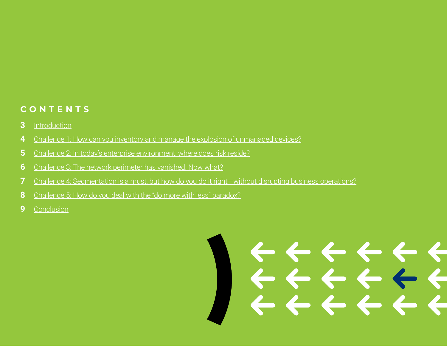#### **CONTENTS**

- [Introduction](#page-2-0)
- [Challenge 1: How can you inventory and manage the explosion of unmanaged devices?](#page-3-0)
- [Challenge 2: In today's enterprise environment, where does risk reside?](#page-4-0)
- [Challenge 3: The network perimeter has vanished. Now what?](#page-5-0)
- [Challenge 4: Segmentation is a must, but how do you do it right—without disrupting business operations?](#page-6-0)
- [Challenge 5: How do you deal with the "do more with less" paradox?](#page-7-0)
- [Conclusion](#page-8-0)

# **2 E-BOOK BY FORESCOUT** | How to Secure the Enterprise of Things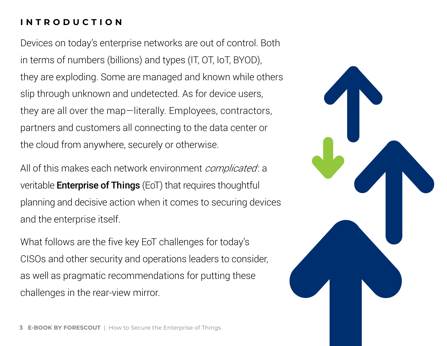### <span id="page-2-0"></span>**I N T R O D U C T I O N**

Devices on today's enterprise networks are out of control. Both in terms of numbers (billions) and types (IT, OT, IoT, BYOD), they are exploding. Some are managed and known while others slip through unknown and undetected. As for device users, they are all over the map—literally. Employees, contractors, partners and customers all connecting to the data center or the cloud from anywhere, securely or otherwise.

All of this makes each network environment complicated: a veritable Enterprise of Things (EoT) that requires thoughtful planning and decisive action when it comes to securing devices and the enterprise itself.

What follows are the five key EoT challenges for today's CISOs and other security and operations leaders to consider, as well as pragmatic recommendations for putting these challenges in the rear-view mirror.

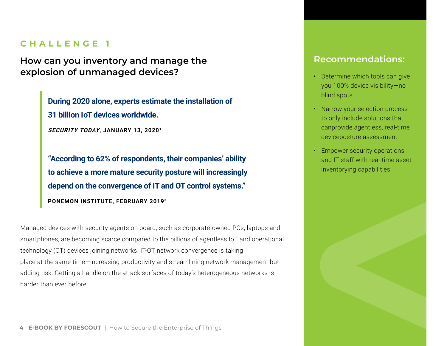<span id="page-3-0"></span>**How can you inventory and manage the explosion of unmanaged devices?** 

> **During 2020 alone, experts estimate the installation of 31 billion IoT devices worldwide.**

**SECURITY TODAY, JANUARY 13, 20201**

**"According to 62% of respondents, their companies' ability to achieve a more mature security posture will increasingly depend on the convergence of IT and OT control systems." PONEMON INSTITUTE, FEBRUARY 20192**

Managed devices with security agents on board, such as corporate-owned PCs, laptops and smartphones, are becoming scarce compared to the billions of agentless IoT and operational technology (OT) devices joining networks. IT-OT network convergence is taking place at the same time—increasing productivity and streamlining network management but adding risk. Getting a handle on the attack surfaces of today's heterogeneous networks is harder than ever before.

- Determine which tools can give you 100% device visibility—no blind spots
- Narrow your selection process to only include solutions that canprovide agentless, real-time deviceposture assessment
- Empower security operations and IT staff with real-time asset inventorying capabilities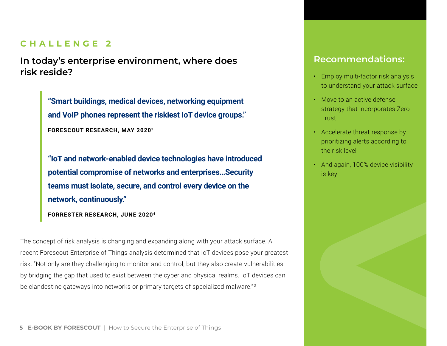<span id="page-4-0"></span>**In today's enterprise environment, where does risk reside?** 

> **"Smart buildings, medical devices, networking equipment and VoIP phones represent the riskiest IoT device groups." FORESCOUT RESEARCH, MAY 20203**

**"IoT and network-enabled device technologies have introduced potential compromise of networks and enterprises…Security teams must isolate, secure, and control every device on the network, continuously."**

The concept of risk analysis is changing and expanding along with your attack surface. A recent Forescout Enterprise of Things analysis determined that IoT devices pose your greatest risk. "Not only are they challenging to monitor and control, but they also create vulnerabilities by bridging the gap that used to exist between the cyber and physical realms. IoT devices can be clandestine gateways into networks or primary targets of specialized malware."<sup>3</sup>

- Employ multi-factor risk analysis to understand your attack surface
- Move to an active defense strategy that incorporates Zero **Trust**
- Accelerate threat response by prioritizing alerts according to the risk level
- And again, 100% device visibility is key



**FORRESTER RESEARCH, JUNE 20204**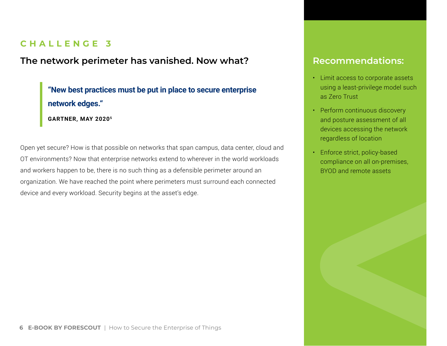#### <span id="page-5-0"></span>**The network perimeter has vanished. Now what?**

**"New best practices must be put in place to secure enterprise network edges. " GARTNER, MAY 20205**

Open yet secure? How is that possible on networks that span campus, data center, cloud and OT environments? Now that enterprise networks extend to wherever in the world workloads and workers happen to be, there is no such thing as a defensible perimeter around an organization. We have reached the point where perimeters must surround each connected device and every workload. Security begins at the asset's edge.

- Limit access to corporate assets using a least-privilege model such as Zero Trust
- Perform continuous discovery and posture assessment of all devices accessing the network regardless of location
- Enforce strict, policy-based compliance on all on-premises, BYOD and remote assets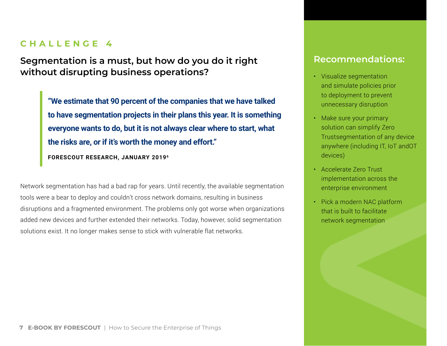<span id="page-6-0"></span>**Segmentation is a must, but how do you do it right without disrupting business operations?** 

> **"We estimate that 90 percent of the companies that we have talked to have segmentation projects in their plans this year. It is something everyone wants to do, but it is not always clear where to start, what the risks are, or if it's worth the money and effort."**

**FORESCOUT RESEARCH, JANUARY 20196**

Network segmentation has had a bad rap for years. Until recently, the available segmentation tools were a bear to deploy and couldn't cross network domains, resulting in business disruptions and a fragmented environment. The problems only got worse when organizations added new devices and further extended their networks. Today, however, solid segmentation solutions exist. It no longer makes sense to stick with vulnerable flat networks.

- Visualize segmentation and simulate policies prior to deployment to prevent unnecessary disruption
- Make sure your primary solution can simplify Zero Trustsegmentation of any device anywhere (including IT, IoT andOT devices)
- Accelerate Zero Trust implementation across the enterprise environment
- Pick a modern NAC platform that is built to facilitate network segmentation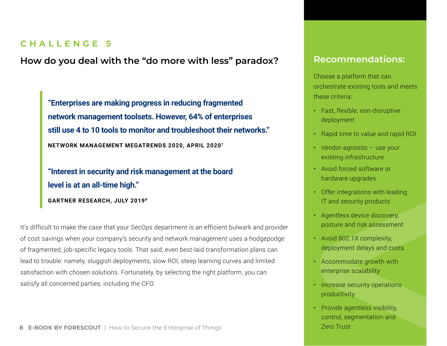<span id="page-7-0"></span>**How do you deal with the "do more with less" paradox?** 

**"Enterprises are making progress in reducing fragmented network management toolsets. However, 64% of enterprises still use 4 to 10 tools to monitor and troubleshoot their networks." NETWORK MANAGEMENT MEGATRENDS 2020, APRIL 20207**

**"Interest in security and risk management at the board level is at an all-time high."**

**GARTNER RESEARCH, JULY 20198**

It's difficult to make the case that your SecOps department is an efficient bulwark and provider of cost savings when your company's security and network management uses a hodgepodge of fragmented, job-specific legacy tools. That said, even best-laid transformation plans can lead to trouble: namely, sluggish deployments, slow ROI, steep learning curves and limited satisfaction with chosen solutions. Fortunately, by selecting the right platform, you can satisfy all concerned parties, including the CFO.

# **Recommendations:**

Choose a platform that can orchestrate existing tools and meets these criteria:

- Fast, flexible, non-disruptive deployment
- Rapid time to value and rapid ROI
- Vendor-agnostic use your existing infrastructure
- Avoid forced software or hardware upgrades
- Offer integrations with leading IT and security products
- Agentless device discovery, posture and risk assessment
- Avoid 802.1X complexity, deployment delays and costs
- Accommodate growth with enterprise scalability
- Increase security operations productivity
- Provide agentless visibility, control, segmentation and Zero Trust